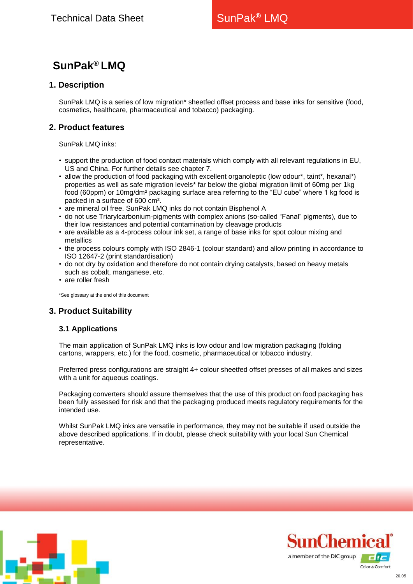# **SunPak® LMQ**

## **1. Description**

SunPak LMQ is a series of low migration\* sheetfed offset process and base inks for sensitive (food, cosmetics, healthcare, pharmaceutical and tobacco) packaging.

# **2. Product features**

SunPak LMQ inks:

- support the production of food contact materials which comply with all relevant regulations in EU, US and China. For further details see chapter 7.
- allow the production of food packaging with excellent organoleptic (low odour\*, taint\*, hexanal\*) properties as well as safe migration levels\* far below the global migration limit of 60mg per 1kg food (60ppm) or 10mg/dm² packaging surface area referring to the "EU cube" where 1 kg food is packed in a surface of 600 cm².
- are mineral oil free. SunPak LMQ inks do not contain Bisphenol A
- do not use Triarylcarbonium-pigments with complex anions (so-called "Fanal" pigments), due to their low resistances and potential contamination by cleavage products
- are available as a 4-process colour ink set, a range of base inks for spot colour mixing and metallics
- the process colours comply with ISO 2846-1 (colour standard) and allow printing in accordance to ISO 12647-2 (print standardisation)
- do not dry by oxidation and therefore do not contain drying catalysts, based on heavy metals such as cobalt, manganese, etc.
- are roller fresh

\*See glossary at the end of this document

# **3. Product Suitability**

## **3.1 Applications**

The main application of SunPak LMQ inks is low odour and low migration packaging (folding cartons, wrappers, etc.) for the food, cosmetic, pharmaceutical or tobacco industry.

Preferred press configurations are straight 4+ colour sheetfed offset presses of all makes and sizes with a unit for aqueous coatings.

Packaging converters should assure themselves that the use of this product on food packaging has been fully assessed for risk and that the packaging produced meets regulatory requirements for the intended use.

Whilst SunPak LMQ inks are versatile in performance, they may not be suitable if used outside the above described applications. If in doubt, please check suitability with your local Sun Chemical representative.



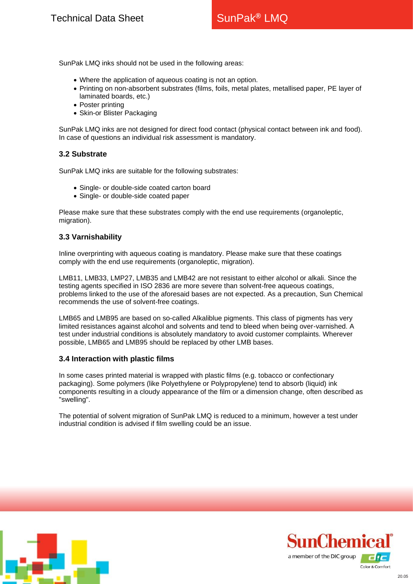SunPak LMQ inks should not be used in the following areas:

- Where the application of aqueous coating is not an option.
- Printing on non-absorbent substrates (films, foils, metal plates, metallised paper, PE layer of laminated boards, etc.)
- Poster printing
- Skin-or Blister Packaging

SunPak LMQ inks are not designed for direct food contact (physical contact between ink and food). In case of questions an individual risk assessment is mandatory.

#### **3.2 Substrate**

SunPak LMQ inks are suitable for the following substrates:

- Single- or double-side coated carton board
- Single- or double-side coated paper

Please make sure that these substrates comply with the end use requirements (organoleptic, migration).

#### **3.3 Varnishability**

Inline overprinting with aqueous coating is mandatory. Please make sure that these coatings comply with the end use requirements (organoleptic, migration).

LMB11, LMB33, LMP27, LMB35 and LMB42 are not resistant to either alcohol or alkali. Since the testing agents specified in ISO 2836 are more severe than solvent-free aqueous coatings, problems linked to the use of the aforesaid bases are not expected. As a precaution, Sun Chemical recommends the use of solvent-free coatings.

LMB65 and LMB95 are based on so-called Alkaliblue pigments. This class of pigments has very limited resistances against alcohol and solvents and tend to bleed when being over-varnished. A test under industrial conditions is absolutely mandatory to avoid customer complaints. Wherever possible, LMB65 and LMB95 should be replaced by other LMB bases.

#### **3.4 Interaction with plastic films**

In some cases printed material is wrapped with plastic films (e.g. tobacco or confectionary packaging). Some polymers (like Polyethylene or Polypropylene) tend to absorb (liquid) ink components resulting in a cloudy appearance of the film or a dimension change, often described as "swelling".

The potential of solvent migration of SunPak LMQ is reduced to a minimum, however a test under industrial condition is advised if film swelling could be an issue.



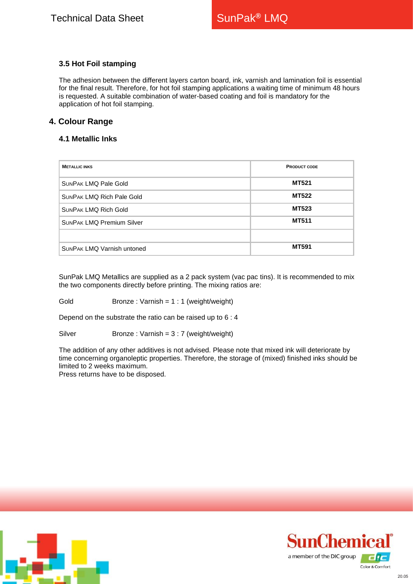## **3.5 Hot Foil stamping**

The adhesion between the different layers carton board, ink, varnish and lamination foil is essential for the final result. Therefore, for hot foil stamping applications a waiting time of minimum 48 hours is requested. A suitable combination of water-based coating and foil is mandatory for the application of hot foil stamping.

# **4. Colour Range**

## **4.1 Metallic Inks**

| <b>METALLIC INKS</b>              | <b>PRODUCT CODE</b> |
|-----------------------------------|---------------------|
| <b>SUNPAK LMQ Pale Gold</b>       | <b>MT521</b>        |
| <b>SUNPAK LMQ Rich Pale Gold</b>  | <b>MT522</b>        |
| <b>SUNPAK LMQ Rich Gold</b>       | <b>MT523</b>        |
| <b>SUNPAK LMQ Premium Silver</b>  | <b>MT511</b>        |
|                                   |                     |
| <b>SUNPAK LMQ Varnish untoned</b> | <b>MT591</b>        |

SunPak LMQ Metallics are supplied as a 2 pack system (vac pac tins). It is recommended to mix the two components directly before printing. The mixing ratios are:

Gold Bronze : Varnish = 1 : 1 (weight/weight)

Depend on the substrate the ratio can be raised up to 6 : 4

Silver Bronze : Varnish = 3 : 7 (weight/weight)

The addition of any other additives is not advised. Please note that mixed ink will deteriorate by time concerning organoleptic properties. Therefore, the storage of (mixed) finished inks should be limited to 2 weeks maximum.

Press returns have to be disposed.



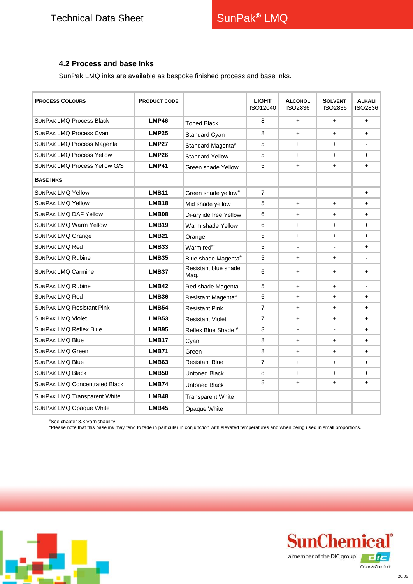## **4.2 Process and base Inks**

SunPak LMQ inks are available as bespoke finished process and base inks.

| <b>PROCESS COLOURS</b>               | <b>PRODUCT CODE</b> |                                 | <b>LIGHT</b><br>ISO12040 | <b>ALCOHOL</b><br>ISO2836 | <b>SOLVENT</b><br>ISO2836 | <b>ALKALI</b><br>ISO2836 |
|--------------------------------------|---------------------|---------------------------------|--------------------------|---------------------------|---------------------------|--------------------------|
| <b>SUNPAK LMQ Process Black</b>      | LMP46               | <b>Toned Black</b>              | 8                        | $\ddot{}$                 | $\ddot{}$                 | $\ddot{}$                |
| <b>SUNPAK LMQ Process Cyan</b>       | <b>LMP25</b>        | Standard Cyan                   | 8                        | $+$                       | $+$                       | $+$                      |
| <b>SUNPAK LMQ Process Magenta</b>    | <b>LMP27</b>        | Standard Magenta#               | 5                        | +                         | $\ddot{}$                 |                          |
| <b>SUNPAK LMQ Process Yellow</b>     | <b>LMP26</b>        | <b>Standard Yellow</b>          | 5                        | $\ddot{}$                 | $+$                       | ÷.                       |
| <b>SUNPAK LMQ Process Yellow G/S</b> | LMP41               | Green shade Yellow              | 5                        | $\ddot{}$                 | $\ddot{}$                 | $\ddot{}$                |
| <b>BASE INKS</b>                     |                     |                                 |                          |                           |                           |                          |
| <b>SUNPAK LMQ Yellow</b>             | <b>LMB11</b>        | Green shade yellow <sup>#</sup> | $\overline{7}$           | $\overline{\phantom{a}}$  | $\overline{\phantom{a}}$  | $\ddot{}$                |
| <b>SUNPAK LMQ Yellow</b>             | LMB <sub>18</sub>   | Mid shade yellow                | 5                        | $+$                       | $\ddot{}$                 | ÷.                       |
| <b>SUNPAK LMQ DAF Yellow</b>         | LMB08               | Di-arylide free Yellow          | 6                        | $\ddot{}$                 | $\ddot{}$                 | $\ddot{}$                |
| <b>SUNPAK LMQ Warm Yellow</b>        | LMB <sub>19</sub>   | Warm shade Yellow               | 6                        | $+$                       | +                         | $\ddot{}$                |
| <b>SUNPAK LMQ Orange</b>             | LMB <sub>21</sub>   | Orange                          | 5                        | $\ddot{}$                 | $\ddot{}$                 | $+$                      |
| <b>SUNPAK LMQ Red</b>                | <b>LMB33</b>        | Warm red <sup>#*</sup>          | 5                        |                           |                           | $+$                      |
| <b>SUNPAK LMQ Rubine</b>             | <b>LMB35</b>        | Blue shade Magenta#             | 5                        | $\ddot{}$                 | $\ddot{}$                 |                          |
| <b>SUNPAK LMQ Carmine</b>            | <b>LMB37</b>        | Resistant blue shade<br>Mag.    | 6                        | $\ddot{}$                 | $\ddot{}$                 | $\ddot{}$                |
| <b>SUNPAK LMQ Rubine</b>             | <b>LMB42</b>        | Red shade Magenta               | 5                        | $\ddot{}$                 | $\ddot{}$                 |                          |
| <b>SUNPAK LMQ Red</b>                | LMB36               | Resistant Magenta#              | 6                        | $\ddot{}$                 | $+$                       | $\ddot{}$                |
| <b>SUNPAK LMQ Resistant Pink</b>     | <b>LMB54</b>        | <b>Resistant Pink</b>           | $\overline{7}$           | $\ddot{}$                 | $\ddot{}$                 | $+$                      |
| <b>SUNPAK LMQ Violet</b>             | <b>LMB53</b>        | <b>Resistant Violet</b>         | $\overline{7}$           | $\ddot{}$                 | $\ddot{}$                 | $+$                      |
| <b>SUNPAK LMQ Reflex Blue</b>        | LMB95               | Reflex Blue Shade #             | 3                        |                           |                           | $\ddot{}$                |
| <b>SUNPAK LMQ Blue</b>               | LMB <sub>17</sub>   | Cyan                            | 8                        | $\ddot{}$                 | $\ddot{}$                 | $\ddot{}$                |
| <b>SUNPAK LMQ Green</b>              | LMB71               | Green                           | 8                        | $+$                       | $\ddot{}$                 | $\ddot{}$                |
| <b>SUNPAK LMQ Blue</b>               | <b>LMB63</b>        | <b>Resistant Blue</b>           | $\overline{7}$           | $\ddot{}$                 | $\ddot{}$                 | $\ddot{}$                |
| <b>SUNPAK LMQ Black</b>              | <b>LMB50</b>        | <b>Untoned Black</b>            | 8                        | $+$                       | $\ddot{}$                 | $\ddot{}$                |
| <b>SUNPAK LMQ Concentrated Black</b> | <b>LMB74</b>        | <b>Untoned Black</b>            | 8                        | $\ddot{}$                 | $\ddot{}$                 | $\ddot{}$                |
| <b>SUNPAK LMQ Transparent White</b>  | LMB48               | <b>Transparent White</b>        |                          |                           |                           |                          |
| <b>SUNPAK LMQ Opaque White</b>       | <b>LMB45</b>        | Opaque White                    |                          |                           |                           |                          |

#See chapter 3.3 Varnishability

\*Please note that this base ink may tend to fade in particular in conjunction with elevated temperatures and when being used in small proportions.



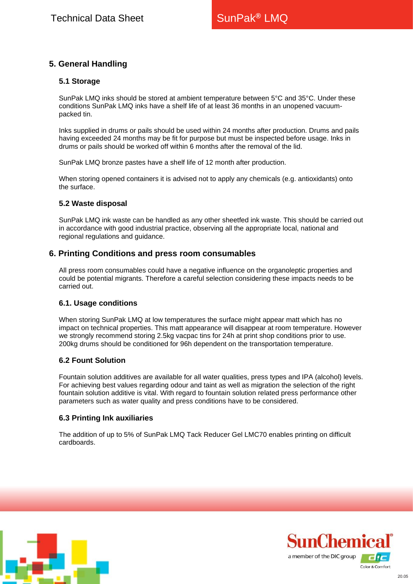# **5. General Handling**

## **5.1 Storage**

SunPak LMQ inks should be stored at ambient temperature between 5°C and 35°C. Under these conditions SunPak LMQ inks have a shelf life of at least 36 months in an unopened vacuumpacked tin.

Inks supplied in drums or pails should be used within 24 months after production. Drums and pails having exceeded 24 months may be fit for purpose but must be inspected before usage. Inks in drums or pails should be worked off within 6 months after the removal of the lid.

SunPak LMQ bronze pastes have a shelf life of 12 month after production.

When storing opened containers it is advised not to apply any chemicals (e.g. antioxidants) onto the surface.

#### **5.2 Waste disposal**

SunPak LMQ ink waste can be handled as any other sheetfed ink waste. This should be carried out in accordance with good industrial practice, observing all the appropriate local, national and regional regulations and guidance.

## **6. Printing Conditions and press room consumables**

All press room consumables could have a negative influence on the organoleptic properties and could be potential migrants. Therefore a careful selection considering these impacts needs to be carried out.

#### **6.1. Usage conditions**

When storing SunPak LMQ at low temperatures the surface might appear matt which has no impact on technical properties. This matt appearance will disappear at room temperature. However we strongly recommend storing 2.5kg vacpac tins for 24h at print shop conditions prior to use. 200kg drums should be conditioned for 96h dependent on the transportation temperature.

#### **6.2 Fount Solution**

Fountain solution additives are available for all water qualities, press types and IPA (alcohol) levels. For achieving best values regarding odour and taint as well as migration the selection of the right fountain solution additive is vital. With regard to fountain solution related press performance other parameters such as water quality and press conditions have to be considered.

#### **6.3 Printing Ink auxiliaries**

The addition of up to 5% of SunPak LMQ Tack Reducer Gel LMC70 enables printing on difficult cardboards.



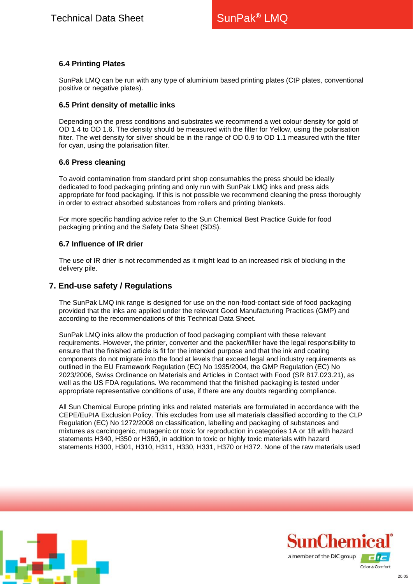## **6.4 Printing Plates**

SunPak LMQ can be run with any type of aluminium based printing plates (CtP plates, conventional positive or negative plates).

#### **6.5 Print density of metallic inks**

Depending on the press conditions and substrates we recommend a wet colour density for gold of OD 1.4 to OD 1.6. The density should be measured with the filter for Yellow, using the polarisation filter. The wet density for silver should be in the range of OD 0.9 to OD 1.1 measured with the filter for cyan, using the polarisation filter.

#### **6.6 Press cleaning**

To avoid contamination from standard print shop consumables the press should be ideally dedicated to food packaging printing and only run with SunPak LMQ inks and press aids appropriate for food packaging. If this is not possible we recommend cleaning the press thoroughly in order to extract absorbed substances from rollers and printing blankets.

For more specific handling advice refer to the Sun Chemical Best Practice Guide for food packaging printing and the Safety Data Sheet (SDS).

#### **6.7 Influence of IR drier**

The use of IR drier is not recommended as it might lead to an increased risk of blocking in the delivery pile.

## **7. End-use safety / Regulations**

The SunPak LMQ ink range is designed for use on the non-food-contact side of food packaging provided that the inks are applied under the relevant Good Manufacturing Practices (GMP) and according to the recommendations of this Technical Data Sheet.

SunPak LMQ inks allow the production of food packaging compliant with these relevant requirements. However, the printer, converter and the packer/filler have the legal responsibility to ensure that the finished article is fit for the intended purpose and that the ink and coating components do not migrate into the food at levels that exceed legal and industry requirements as outlined in the EU Framework Regulation (EC) No 1935/2004, the GMP Regulation (EC) No 2023/2006, Swiss Ordinance on Materials and Articles in Contact with Food (SR 817.023.21), as well as the US FDA regulations. We recommend that the finished packaging is tested under appropriate representative conditions of use, if there are any doubts regarding compliance.

All Sun Chemical Europe printing inks and related materials are formulated in accordance with the CEPE/EuPIA Exclusion Policy. This excludes from use all materials classified according to the CLP Regulation (EC) No 1272/2008 on classification, labelling and packaging of substances and mixtures as carcinogenic, mutagenic or toxic for reproduction in categories 1A or 1B with hazard statements H340, H350 or H360, in addition to toxic or highly toxic materials with hazard statements H300, H301, H310, H311, H330, H331, H370 or H372. None of the raw materials used



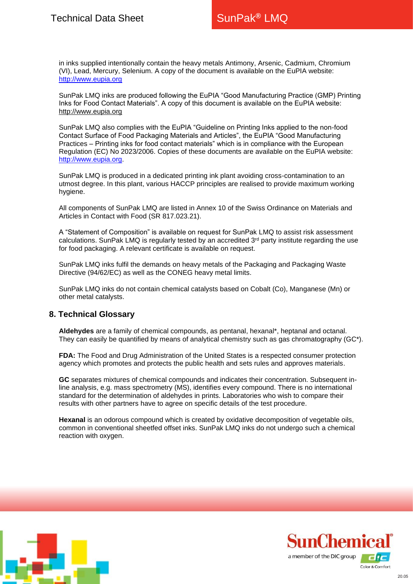in inks supplied intentionally contain the heavy metals Antimony, Arsenic, Cadmium, Chromium (VI), Lead, Mercury, Selenium. A copy of the document is available on the EuPIA website: [http://www.eupia.org](http://www.eupia.org/)

SunPak LMQ inks are produced following the EuPIA "Good Manufacturing Practice (GMP) Printing Inks for Food Contact Materials". A copy of this document is available on the EuPIA website: [http://www.eupia.org](http://www.eupia.org/)

SunPak LMQ also complies with the EuPIA "Guideline on Printing Inks applied to the non-food Contact Surface of Food Packaging Materials and Articles", the EuPIA "Good Manufacturing Practices – Printing inks for food contact materials" which is in compliance with the European Regulation (EC) No 2023/2006. Copies of these documents are available on the EuPIA website: [http://www.eupia.org.](http://www.eupia.org/)

SunPak LMQ is produced in a dedicated printing ink plant avoiding cross-contamination to an utmost degree. In this plant, various HACCP principles are realised to provide maximum working hygiene.

All components of SunPak LMQ are listed in Annex 10 of the Swiss Ordinance on Materials and Articles in Contact with Food (SR 817.023.21).

A "Statement of Composition" is available on request for SunPak LMQ to assist risk assessment calculations. SunPak LMQ is regularly tested by an accredited  $3<sup>rd</sup>$  party institute regarding the use for food packaging. A relevant certificate is available on request.

SunPak LMQ inks fulfil the demands on heavy metals of the Packaging and Packaging Waste Directive (94/62/EC) as well as the CONEG heavy metal limits.

SunPak LMQ inks do not contain chemical catalysts based on Cobalt (Co), Manganese (Mn) or other metal catalysts.

## **8. Technical Glossary**

**Aldehydes** are a family of chemical compounds, as pentanal, hexanal\*, heptanal and octanal. They can easily be quantified by means of analytical chemistry such as gas chromatography (GC\*).

**FDA:** The Food and Drug Administration of the United States is a respected consumer protection agency which promotes and protects the public health and sets rules and approves materials.

**GC** separates mixtures of chemical compounds and indicates their concentration. Subsequent inline analysis, e.g. mass spectrometry (MS), identifies every compound. There is no international standard for the determination of aldehydes in prints. Laboratories who wish to compare their results with other partners have to agree on specific details of the test procedure.

**Hexanal** is an odorous compound which is created by oxidative decomposition of vegetable oils, common in conventional sheetfed offset inks. SunPak LMQ inks do not undergo such a chemical reaction with oxygen.



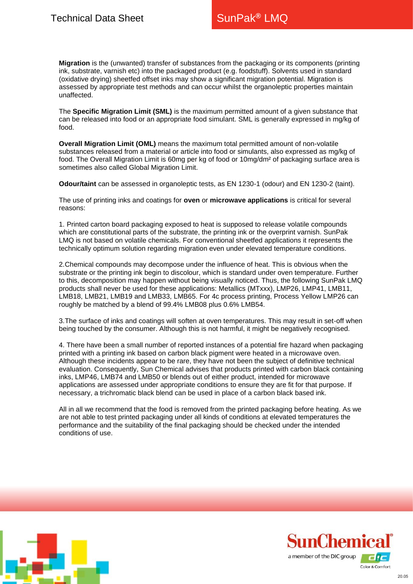**Migration** is the (unwanted) transfer of substances from the packaging or its components (printing ink, substrate, varnish etc) into the packaged product (e.g. foodstuff). Solvents used in standard (oxidative drying) sheetfed offset inks may show a significant migration potential. Migration is assessed by appropriate test methods and can occur whilst the organoleptic properties maintain unaffected.

The **Specific Migration Limit (SML)** is the maximum permitted amount of a given substance that can be released into food or an appropriate food simulant. SML is generally expressed in mg/kg of food.

**Overall Migration Limit (OML)** means the maximum total permitted amount of non-volatile substances released from a material or article into food or simulants, also expressed as mg/kg of food. The Overall Migration Limit is 60mg per kg of food or 10mg/dm² of packaging surface area is sometimes also called Global Migration Limit.

**Odour/taint** can be assessed in organoleptic tests, as EN 1230-1 (odour) and EN 1230-2 (taint).

The use of printing inks and coatings for **oven** or **microwave applications** is critical for several reasons:

1. Printed carton board packaging exposed to heat is supposed to release volatile compounds which are constitutional parts of the substrate, the printing ink or the overprint varnish. SunPak LMQ is not based on volatile chemicals. For conventional sheetfed applications it represents the technically optimum solution regarding migration even under elevated temperature conditions.

2.Chemical compounds may decompose under the influence of heat. This is obvious when the substrate or the printing ink begin to discolour, which is standard under oven temperature. Further to this, decomposition may happen without being visually noticed. Thus, the following SunPak LMQ products shall never be used for these applications: Metallics (MTxxx), LMP26, LMP41, LMB11, LMB18, LMB21, LMB19 and LMB33, LMB65. For 4c process printing, Process Yellow LMP26 can roughly be matched by a blend of 99.4% LMB08 plus 0.6% LMB54.

3.The surface of inks and coatings will soften at oven temperatures. This may result in set-off when being touched by the consumer. Although this is not harmful, it might be negatively recognised.

4. There have been a small number of reported instances of a potential fire hazard when packaging printed with a printing ink based on carbon black pigment were heated in a microwave oven. Although these incidents appear to be rare, they have not been the subject of definitive technical evaluation. Consequently, Sun Chemical advises that products printed with carbon black containing inks, LMP46, LMB74 and LMB50 or blends out of either product, intended for microwave applications are assessed under appropriate conditions to ensure they are fit for that purpose. If necessary, a trichromatic black blend can be used in place of a carbon black based ink.

All in all we recommend that the food is removed from the printed packaging before heating. As we are not able to test printed packaging under all kinds of conditions at elevated temperatures the performance and the suitability of the final packaging should be checked under the intended conditions of use.



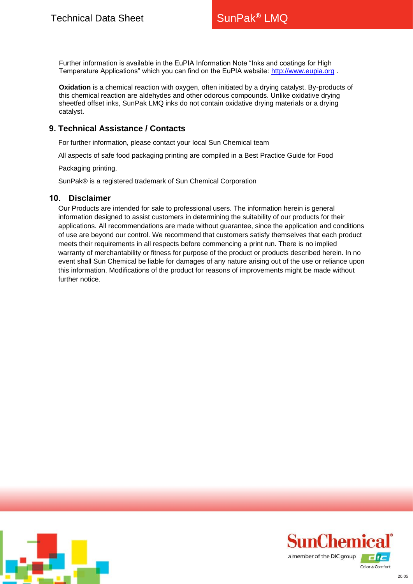Further information is available in the EuPIA Information Note "Inks and coatings for High Temperature Applications" which you can find on the EuPIA website: [http://www.eupia.org](http://www.eupia.org/) .

**Oxidation** is a chemical reaction with oxygen, often initiated by a drying catalyst. By-products of this chemical reaction are aldehydes and other odorous compounds. Unlike oxidative drying sheetfed offset inks, SunPak LMQ inks do not contain oxidative drying materials or a drying catalyst.

## **9. Technical Assistance / Contacts**

For further information, please contact your local Sun Chemical team

[All aspects of safe food](http://www.sunchemical.com/) packaging printing are compiled in a Best Practice Guide for Food

Packaging printing.

SunPak® is a registered trademark of Sun Chemical Corporation

#### **10. Disclaimer**

Our Products are intended for sale to professional users. The information herein is general information designed to assist customers in determining the suitability of our products for their applications. All recommendations are made without guarantee, since the application and conditions of use are beyond our control. We recommend that customers satisfy themselves that each product meets their requirements in all respects before commencing a print run. There is no implied warranty of merchantability or fitness for purpose of the product or products described herein. In no event shall Sun Chemical be liable for damages of any nature arising out of the use or reliance upon this information. Modifications of the product for reasons of improvements might be made without further notice.



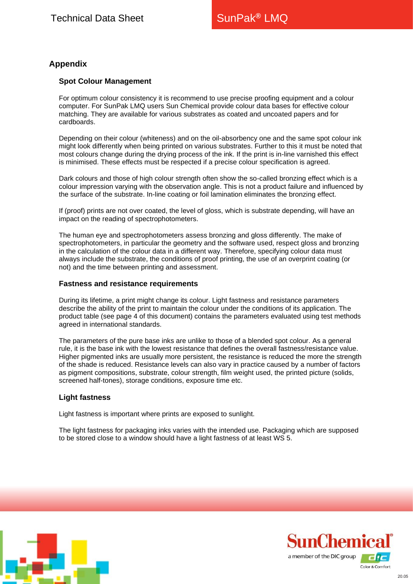# **Appendix**

#### **Spot Colour Management**

For optimum colour consistency it is recommend to use precise proofing equipment and a colour computer. For SunPak LMQ users Sun Chemical provide colour data bases for effective colour matching. They are available for various substrates as coated and uncoated papers and for cardboards.

Depending on their colour (whiteness) and on the oil-absorbency one and the same spot colour ink might look differently when being printed on various substrates. Further to this it must be noted that most colours change during the drying process of the ink. If the print is in-line varnished this effect is minimised. These effects must be respected if a precise colour specification is agreed.

Dark colours and those of high colour strength often show the so-called bronzing effect which is a colour impression varying with the observation angle. This is not a product failure and influenced by the surface of the substrate. In-line coating or foil lamination eliminates the bronzing effect.

If (proof) prints are not over coated, the level of gloss, which is substrate depending, will have an impact on the reading of spectrophotometers.

The human eye and spectrophotometers assess bronzing and gloss differently. The make of spectrophotometers, in particular the geometry and the software used, respect gloss and bronzing in the calculation of the colour data in a different way. Therefore, specifying colour data must always include the substrate, the conditions of proof printing, the use of an overprint coating (or not) and the time between printing and assessment.

#### **Fastness and resistance requirements**

During its lifetime, a print might change its colour. Light fastness and resistance parameters describe the ability of the print to maintain the colour under the conditions of its application. The product table (see page 4 of this document) contains the parameters evaluated using test methods agreed in international standards.

The parameters of the pure base inks are unlike to those of a blended spot colour. As a general rule, it is the base ink with the lowest resistance that defines the overall fastness/resistance value. Higher pigmented inks are usually more persistent, the resistance is reduced the more the strength of the shade is reduced. Resistance levels can also vary in practice caused by a number of factors as pigment compositions, substrate, colour strength, film weight used, the printed picture (solids, screened half-tones), storage conditions, exposure time etc.

#### **Light fastness**

Light fastness is important where prints are exposed to sunlight.

The light fastness for packaging inks varies with the intended use. Packaging which are supposed to be stored close to a window should have a light fastness of at least WS 5.